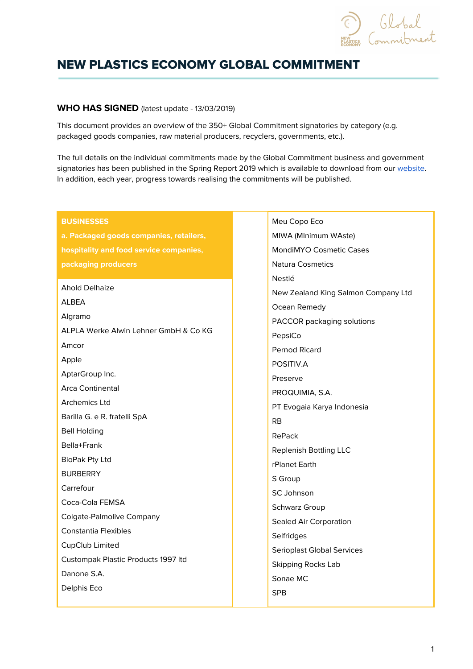

# NEW PLASTICS ECONOMY GLOBAL COMMITMENT

#### **WHO HAS SIGNED** (latest update - 13/03/2019)

This document provides an overview of the 350+ Global Commitment signatories by category (e.g. packaged goods companies, raw material producers, recyclers, governments, etc.).

The full details on the individual commitments made by the Global Commitment business and government signatories has been published in the Spring Report 2019 which is available to download from our [website](https://newplasticseconomy.org/). In addition, each year, progress towards realising the commitments will be published.

| <b>BUSINESSES</b>                       | Meu Copo Eco                        |
|-----------------------------------------|-------------------------------------|
| a. Packaged goods companies, retailers, | MIWA (MInimum WAste)                |
| hospitality and food service companies, | <b>MondiMYO Cosmetic Cases</b>      |
| packaging producers                     | <b>Natura Cosmetics</b>             |
|                                         | Nestlé                              |
| <b>Ahold Delhaize</b>                   | New Zealand King Salmon Company Ltd |
| ALBEA                                   | Ocean Remedy                        |
| Algramo                                 | PACCOR packaging solutions          |
| ALPLA Werke Alwin Lehner GmbH & Co KG   | PepsiCo                             |
| Amcor                                   | Pernod Ricard                       |
| Apple                                   | POSITIV.A                           |
| AptarGroup Inc.                         | Preserve                            |
| Arca Continental                        | PROQUIMIA, S.A.                     |
| <b>Archemics Ltd</b>                    | PT Evogaia Karya Indonesia          |
| Barilla G. e R. fratelli SpA            | RB                                  |
| <b>Bell Holding</b>                     | RePack                              |
| Bella+Frank                             | <b>Replenish Bottling LLC</b>       |
| BioPak Pty Ltd                          | rPlanet Earth                       |
| <b>BURBERRY</b>                         | S Group                             |
| Carrefour                               | <b>SC Johnson</b>                   |
| Coca-Cola FEMSA                         | Schwarz Group                       |
| <b>Colgate-Palmolive Company</b>        | Sealed Air Corporation              |
| <b>Constantia Flexibles</b>             | Selfridges                          |
| CupClub Limited                         | <b>Serioplast Global Services</b>   |
| Custompak Plastic Products 1997 Itd     | <b>Skipping Rocks Lab</b>           |
| Danone S.A.                             | Sonae MC                            |
| Delphis Eco                             | <b>SPB</b>                          |
|                                         |                                     |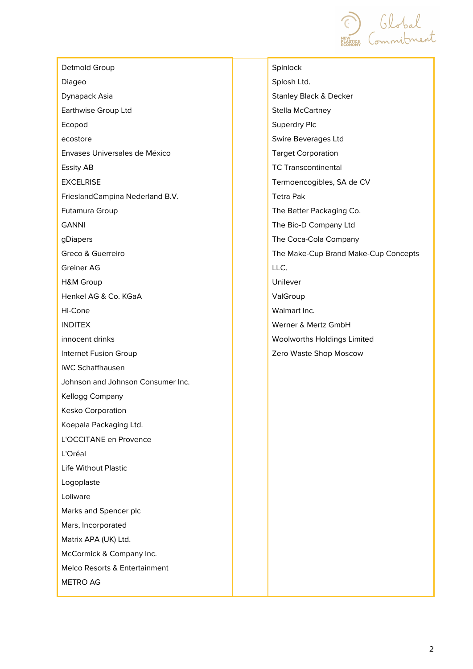Global<br>Commitment

| Detmold Group                     | Spinloc        |
|-----------------------------------|----------------|
| Diageo                            | Splosh         |
| Dynapack Asia                     | Stanley        |
| Earthwise Group Ltd               | Stella N       |
| Ecopod                            | Superd         |
| ecostore                          | Swire E        |
| Envases Universales de México     | Target         |
| Essity AB                         | <b>TC Trar</b> |
| <b>EXCELRISE</b>                  | Termoe         |
| FrieslandCampina Nederland B.V.   | Tetra P        |
| Futamura Group                    | The Be         |
| <b>GANNI</b>                      | The Bic        |
| gDiapers                          | The Co         |
| Greco & Guerreiro                 | The Ma         |
| Greiner AG                        | LLC.           |
| H&M Group                         | Unileve        |
| Henkel AG & Co. KGaA              | ValGro         |
| Hi-Cone                           | Walmar         |
| <b>INDITEX</b>                    | Werner         |
| innocent drinks                   | <b>Woolw</b>   |
| Internet Fusion Group             | Zero W         |
| <b>IWC Schaffhausen</b>           |                |
| Johnson and Johnson Consumer Inc. |                |
| Kellogg Company                   |                |
| Kesko Corporation                 |                |
| Koepala Packaging Ltd.            |                |
| L'OCCITANE en Provence            |                |
| L'Oréal                           |                |
| Life Without Plastic              |                |
| Logoplaste                        |                |
| Loliware                          |                |
| Marks and Spencer plc             |                |
| Mars, Incorporated                |                |
| Matrix APA (UK) Ltd.              |                |
| McCormick & Company Inc.          |                |
| Melco Resorts & Entertainment     |                |
| <b>METRO AG</b>                   |                |
|                                   |                |

 $2k$ Ltd. Black & Decker McCartney dry Plc Beverages Ltd Corporation nscontinental encogibles, SA de CV Pak etter Packaging Co. o-D Company Ltd oca-Cola Company ake-Cup Brand Make-Cup Concepts er  $up$ rt Inc. & Mertz GmbH orths Holdings Limited aste Shop Moscow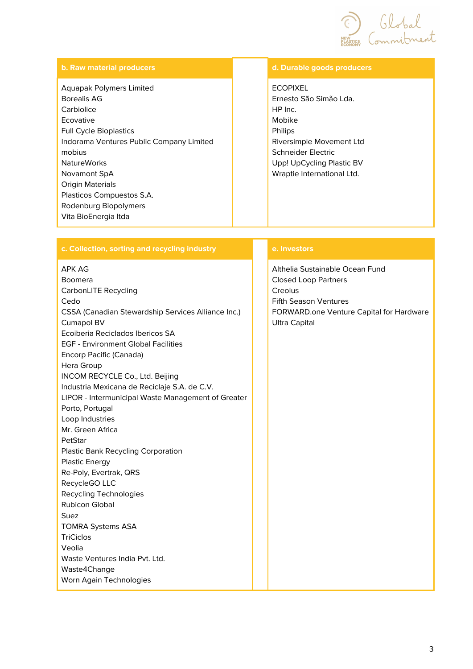

#### **b. Raw material producers d. Durable goods producers** Aquapak Polymers Limited Borealis AG **Carbiolice** Ecovative Full Cycle Bioplastics Indorama Ventures Public Company Limited mobius NatureWorks Novamont SpA Origin Materials Plasticos Compuestos S.A. Rodenburg Biopolymers Vita BioEnergia ltda ECOPIXEL Ernesto São Simão Lda. HP Inc. Mobike Philips Riversimple Movement Ltd Schneider Electric Upp! UpCycling Plastic BV Wraptie International Ltd.

## **c. Collection, sorting and recycling industry e. Investors**

#### APK AG

Boomera CarbonLITE Recycling Cedo CSSA (Canadian Stewardship Services Alliance Inc.) Cumapol BV Ecoiberia Reciclados Ibericos SA EGF - Environment Global Facilities Encorp Pacific (Canada) Hera Group INCOM RECYCLE Co., Ltd. Beijing Industria Mexicana de Reciclaje S.A. de C.V. LIPOR - Intermunicipal Waste Management of Greater Porto, Portugal Loop Industries Mr. Green Africa PetStar Plastic Bank Recycling Corporation Plastic Energy Re-Poly, Evertrak, QRS RecycleGO LLC Recycling Technologies Rubicon Global Suez TOMRA Systems ASA **TriCiclos** Veolia Waste Ventures India Pvt. Ltd. Waste4Change Worn Again Technologies

Althelia Sustainable Ocean Fund Closed Loop Partners Creolus Fifth Season Ventures FORWARD.one Venture Capital for Hardware Ultra Capital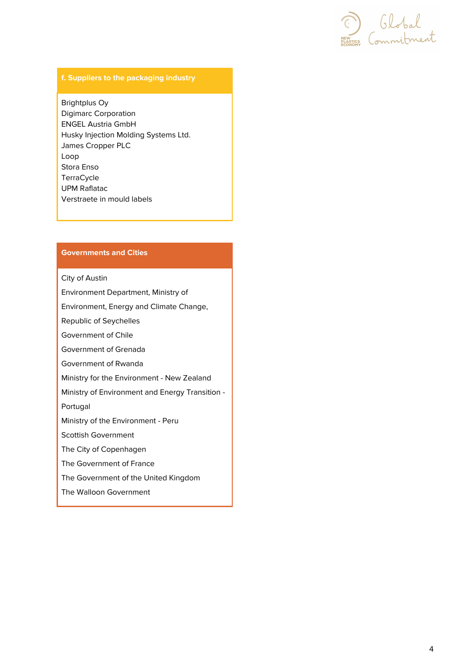Elobal<br>Entre Commitment

## **f. Suppliers to the packaging industry**

Brightplus Oy Digimarc Corporation ENGEL Austria GmbH Husky Injection Molding Systems Ltd. James Cropper PLC Loop Stora Enso **TerraCycle** UPM Raflatac Verstraete in mould labels

### **Governments and Cities**

City of Austin

Environment Department, Ministry of

Environment, Energy and Climate Change,

Republic of Seychelles

Government of Chile

Government of Grenada

Government of Rwanda

Ministry for the Environment - New Zealand

Ministry of Environment and Energy Transition -

Portugal

Ministry of the Environment - Peru

Scottish Government

The City of Copenhagen

The Government of France

The Government of the United Kingdom

The Walloon Government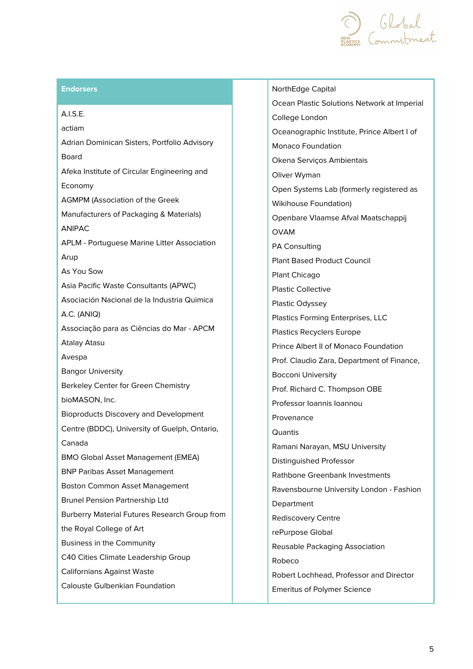

#### **Endorsers** NorthEdge Capital

A.I.S.E. actiam Adrian Dominican Sisters, Portfolio Advisory Board Afeka Institute of Circular Engineering and Economy AGMPM (Association of the Greek Manufacturers of Packaging & Materials) ANIPAC APLM - Portuguese Marine Litter Association Arup As You Sow Asia Pacific Waste Consultants (APWC) Asociación Nacional de la Industria Quimica A.C. (ANIQ) Associação para as Ciências do Mar - APCM Atalay Atasu Avespa Bangor University Berkeley Center for Green Chemistry bioMASON, Inc. Bioproducts Discovery and Development Centre (BDDC), University of Guelph, Ontario, Canada BMO Global Asset Management (EMEA) BNP Paribas Asset Management Boston Common Asset Management Brunel Pension Partnership Ltd Burberry Material Futures Research Group from the Royal College of Art Business in the Community C40 Cities Climate Leadership Group Californians Against Waste Calouste Gulbenkian Foundation

Ocean Plastic Solutions Network at Imperial College London Oceanographic Institute, Prince Albert I of Monaco Foundation Okena Serviços Ambientais Oliver Wyman Open Systems Lab (formerly registered as Wikihouse Foundation) Openbare Vlaamse Afval Maatschappij OVAM PA Consulting Plant Based Product Council Plant Chicago Plastic Collective Plastic Odyssey Plastics Forming Enterprises, LLC Plastics Recyclers Europe Prince Albert II of Monaco Foundation Prof. Claudio Zara, Department of Finance, Bocconi University Prof. Richard C. Thompson OBE Professor Ioannis Ioannou Provenance **Quantis** Ramani Narayan, MSU University Distinguished Professor Rathbone Greenbank Investments Ravensbourne University London - Fashion Department Rediscovery Centre rePurpose Global Reusable Packaging Association Robeco Robert Lochhead, Professor and Director Emeritus of Polymer Science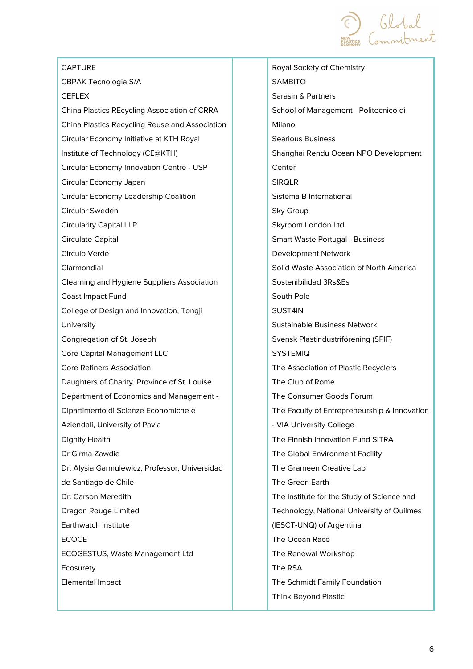

| <b>CAPTURE</b>                                 |  |
|------------------------------------------------|--|
| CBPAK Tecnologia S/A                           |  |
| <b>CEFLEX</b>                                  |  |
| China Plastics REcycling Association of CRRA   |  |
| China Plastics Recycling Reuse and Association |  |
| Circular Economy Initiative at KTH Royal       |  |
| Institute of Technology (CE@KTH)               |  |
| Circular Economy Innovation Centre - USP       |  |
| Circular Economy Japan                         |  |
| Circular Economy Leadership Coalition          |  |
| Circular Sweden                                |  |
| <b>Circularity Capital LLP</b>                 |  |
| Circulate Capital                              |  |
| Circulo Verde                                  |  |
| Clarmondial                                    |  |
| Clearning and Hygiene Suppliers Association    |  |
| <b>Coast Impact Fund</b>                       |  |
| College of Design and Innovation, Tongji       |  |
| University                                     |  |
| Congregation of St. Joseph                     |  |
| <b>Core Capital Management LLC</b>             |  |
| <b>Core Refiners Association</b>               |  |
| Daughters of Charity, Province of St. Louise   |  |
| Department of Economics and Management -       |  |
| Dipartimento di Scienze Economiche e           |  |
| Aziendali, University of Pavia                 |  |
| <b>Dignity Health</b>                          |  |
| Dr Girma Zawdie                                |  |
| Dr. Alysia Garmulewicz, Professor, Universidad |  |
| de Santiago de Chile                           |  |
| Dr. Carson Meredith                            |  |
| Dragon Rouge Limited                           |  |
| Earthwatch Institute                           |  |
| <b>ECOCE</b>                                   |  |
| ECOGESTUS, Waste Management Ltd                |  |
| Ecosurety                                      |  |
| <b>Elemental Impact</b>                        |  |
|                                                |  |

Royal Society of Chemistry SAMBITO Sarasin & Partners School of Management - Politecnico di Milano Searious Business Shanghai Rendu Ocean NPO Development Center SIRQLR Sistema B International Sky Group Skyroom London Ltd Smart Waste Portugal - Business Development Network Solid Waste Association of North America Sostenibilidad 3Rs&Es South Pole SUST4IN Sustainable Business Network Svensk Plastindustriförening (SPIF) SYSTEMIQ The Association of Plastic Recyclers The Club of Rome The Consumer Goods Forum The Faculty of Entrepreneurship & Innovation - VIA University College The Finnish Innovation Fund SITRA The Global Environment Facility The Grameen Creative Lab The Green Earth The Institute for the Study of Science and Technology, National University of Quilmes (IESCT-UNQ) of Argentina The Ocean Race The Renewal Workshop The RSA The Schmidt Family Foundation Think Beyond Plastic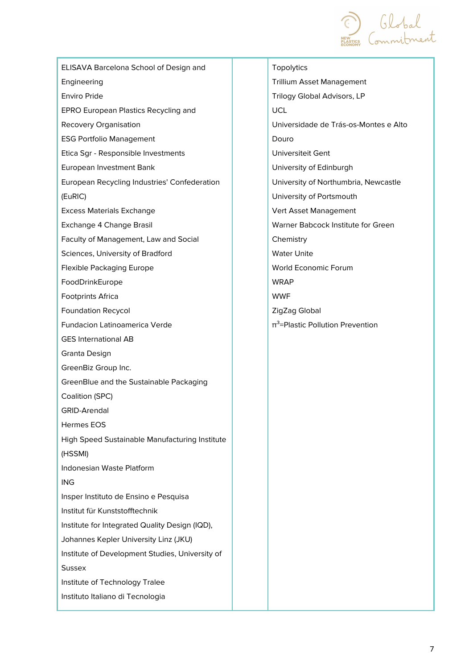

ELISAVA Barcelona School of Design and Engineering Enviro Pride EPRO European Plastics Recycling and Recovery Organisation ESG Portfolio Management Etica Sgr - Responsible Investments European Investment Bank European Recycling Industries' Confederation (EuRIC) Excess Materials Exchange Exchange 4 Change Brasil Faculty of Management, Law and Social Sciences, University of Bradford Flexible Packaging Europe FoodDrinkEurope Footprints Africa Foundation Recycol Fundacion Latinoamerica Verde GES International AB Granta Design GreenBiz Group Inc. GreenBlue and the Sustainable Packaging Coalition (SPC) GRID-Arendal Hermes EOS High Speed Sustainable Manufacturing Institute (HSSMI) Indonesian Waste Platform ING Insper Instituto de Ensino e Pesquisa Institut für Kunststofftechnik Institute for Integrated Quality Design (IQD), Johannes Kepler University Linz (JKU) Institute of Development Studies, University of **Sussex** Institute of Technology Tralee Instituto Italiano di Tecnologia

**Topolytics** Trillium Asset Management Trilogy Global Advisors, LP UCL Universidade de Trás-os-Montes e Alto Douro Universiteit Gent University of Edinburgh University of Northumbria, Newcastle University of Portsmouth Vert Asset Management Warner Babcock Institute for Green **Chemistry** Water Unite World Economic Forum **WRAP** WWF ZigZag Global  $π<sup>3</sup>=Plastic Pollution Prevention$